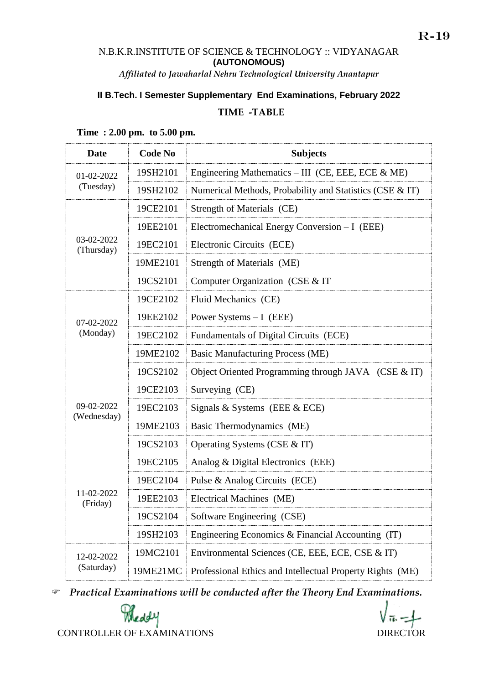### N.B.K.R.INSTITUTE OF SCIENCE & TECHNOLOGY :: VIDYANAGAR **(AUTONOMOUS)** *Affiliated to Jawaharlal Nehru Technological University Anantapur*

## **II B.Tech. I Semester Supplementary End Examinations, February 2022**

## **TIME -TABLE**

| <b>Date</b>               | <b>Code No</b> | <b>Subjects</b>                                           |
|---------------------------|----------------|-----------------------------------------------------------|
| 01-02-2022<br>(Tuesday)   | 19SH2101       | Engineering Mathematics – III (CE, EEE, ECE $\&$ ME)      |
|                           | 19SH2102       | Numerical Methods, Probability and Statistics (CSE & IT)  |
| 03-02-2022<br>(Thursday)  | 19CE2101       | Strength of Materials (CE)                                |
|                           | 19EE2101       | Electromechanical Energy Conversion - I (EEE)             |
|                           | 19EC2101       | Electronic Circuits (ECE)                                 |
|                           | 19ME2101       | Strength of Materials (ME)                                |
|                           | 19CS2101       | Computer Organization (CSE & IT                           |
|                           | 19CE2102       | Fluid Mechanics (CE)                                      |
| 07-02-2022                | 19EE2102       | Power Systems $-I$ (EEE)                                  |
| (Monday)                  | 19EC2102       | Fundamentals of Digital Circuits (ECE)                    |
|                           | 19ME2102       | <b>Basic Manufacturing Process (ME)</b>                   |
|                           | 19CS2102       | Object Oriented Programming through JAVA (CSE & IT)       |
| 09-02-2022<br>(Wednesday) | 19CE2103       | Surveying (CE)                                            |
|                           | 19EC2103       | Signals & Systems (EEE & ECE)                             |
|                           | 19ME2103       | Basic Thermodynamics (ME)                                 |
|                           | 19CS2103       | Operating Systems (CSE & IT)                              |
| 11-02-2022<br>(Friday)    | 19EC2105       | Analog & Digital Electronics (EEE)                        |
|                           | 19EC2104       | Pulse & Analog Circuits (ECE)                             |
|                           | 19EE2103       | Electrical Machines (ME)                                  |
|                           | 19CS2104       | Software Engineering (CSE)                                |
|                           | 19SH2103       | Engineering Economics & Financial Accounting (IT)         |
| 12-02-2022<br>(Saturday)  | 19MC2101       | Environmental Sciences (CE, EEE, ECE, CSE & IT)           |
|                           | 19ME21MC       | Professional Ethics and Intellectual Property Rights (ME) |

**Time : 2.00 pm. to 5.00 pm.**

*Practical Examinations will be conducted after the Theory End Examinations.* 

R-19

Poleddy CONTROLLER OF EXAMINATIONS DIRECTOR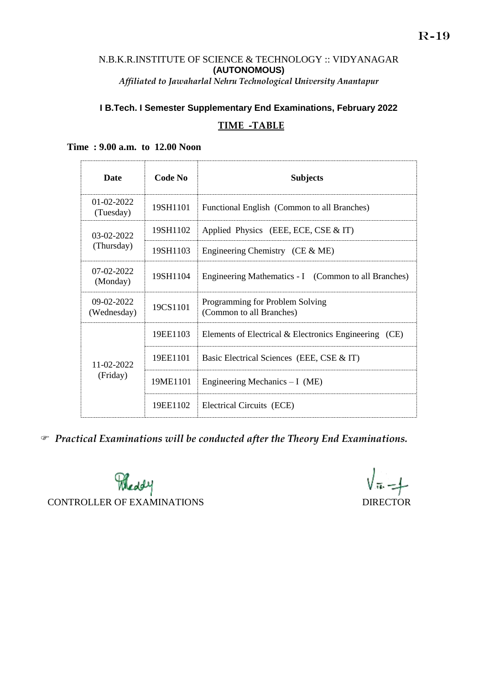#### N.B.K.R.INSTITUTE OF SCIENCE & TECHNOLOGY :: VIDYANAGAR **(AUTONOMOUS)** *Affiliated to Jawaharlal Nehru Technological University Anantapur*

# **I B.Tech. I Semester Supplementary End Examinations, February 2022 TIME -TABLE**

| <b>Date</b>                 | <b>Code No</b> | <b>Subjects</b>                                             |
|-----------------------------|----------------|-------------------------------------------------------------|
| $01-02-2022$<br>(Tuesday)   | 19SH1101       | Functional English (Common to all Branches)                 |
| 03-02-2022<br>(Thursday)    | 19SH1102       | Applied Physics (EEE, ECE, CSE $&$ IT)                      |
|                             | 19SH1103       | Engineering Chemistry (CE $&$ ME)                           |
| $07-02-2022$<br>(Monday)    | 19SH1104       | Engineering Mathematics - I (Common to all Branches)        |
| $09-02-2022$<br>(Wednesday) | 19CS1101       | Programming for Problem Solving<br>(Common to all Branches) |
| 11-02-2022<br>(Friday)      | 19EE1103       | Elements of Electrical & Electronics Engineering (CE)       |
|                             | 19EE1101       | Basic Electrical Sciences (EEE, CSE & IT)                   |
|                             | 19ME1101       | Engineering Mechanics $-I$ (ME)                             |
|                             | 19EE1102       | Electrical Circuits (ECE)                                   |

#### **Time : 9.00 a.m. to 12.00 Noon**

*Practical Examinations will be conducted after the Theory End Examinations.* 

Poleddy CONTROLLER OF EXAMINATIONS DIRECTOR

 $\sqrt{\pi}-1$ 

R-19